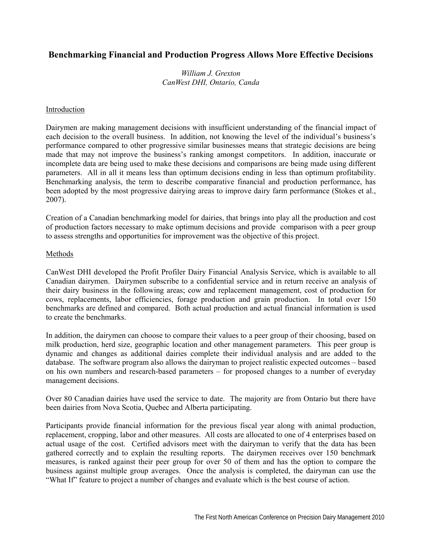# **Benchmarking Financial and Production Progress Allows More Effective Decisions**

### *William J. Grexton CanWest DHI, Ontario, Canda*

#### Introduction

Dairymen are making management decisions with insufficient understanding of the financial impact of each decision to the overall business. In addition, not knowing the level of the individual's business's performance compared to other progressive similar businesses means that strategic decisions are being made that may not improve the business's ranking amongst competitors. In addition, inaccurate or incomplete data are being used to make these decisions and comparisons are being made using different parameters. All in all it means less than optimum decisions ending in less than optimum profitability. Benchmarking analysis, the term to describe comparative financial and production performance, has been adopted by the most progressive dairying areas to improve dairy farm performance (Stokes et al., 2007).

Creation of a Canadian benchmarking model for dairies, that brings into play all the production and cost of production factors necessary to make optimum decisions and provide comparison with a peer group to assess strengths and opportunities for improvement was the objective of this project.

#### Methods

CanWest DHI developed the Profit Profiler Dairy Financial Analysis Service, which is available to all Canadian dairymen. Dairymen subscribe to a confidential service and in return receive an analysis of their dairy business in the following areas; cow and replacement management, cost of production for cows, replacements, labor efficiencies, forage production and grain production. In total over 150 benchmarks are defined and compared. Both actual production and actual financial information is used to create the benchmarks.

In addition, the dairymen can choose to compare their values to a peer group of their choosing, based on milk production, herd size, geographic location and other management parameters. This peer group is dynamic and changes as additional dairies complete their individual analysis and are added to the database. The software program also allows the dairyman to project realistic expected outcomes – based on his own numbers and research-based parameters – for proposed changes to a number of everyday management decisions.

Over 80 Canadian dairies have used the service to date. The majority are from Ontario but there have been dairies from Nova Scotia, Quebec and Alberta participating.

Participants provide financial information for the previous fiscal year along with animal production, replacement, cropping, labor and other measures. All costs are allocated to one of 4 enterprises based on actual usage of the cost. Certified advisors meet with the dairyman to verify that the data has been gathered correctly and to explain the resulting reports. The dairymen receives over 150 benchmark measures, is ranked against their peer group for over 50 of them and has the option to compare the business against multiple group averages. Once the analysis is completed, the dairyman can use the "What If" feature to project a number of changes and evaluate which is the best course of action.